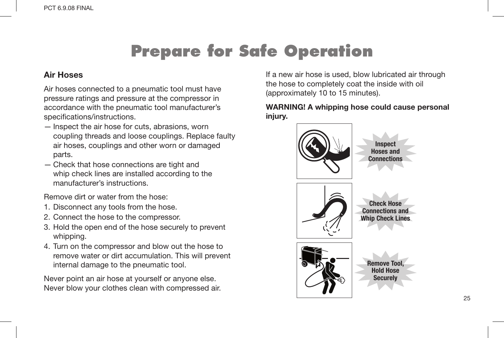### Air Hoses

Air hoses connected to a pneumatic tool must have pressure ratings and pressure at the compressor in accordance with the pneumatic tool manufacturer's specifications/instructions.

- Inspect the air hose for cuts, abrasions, worn coupling threads and loose couplings. Replace faulty air hoses, couplings and other worn or damaged parts.
- Check that hose connections are tight and whip check lines are installed according to the manufacturer's instructions.

Remove dirt or water from the hose:

- 1. Disconnect any tools from the hose.
- 2. Connect the hose to the compressor.
- 3. Hold the open end of the hose securely to prevent whipping.
- 4. Turn on the compressor and blow out the hose to remove water or dirt accumulation. This will prevent internal damage to the pneumatic tool.

Never point an air hose at yourself or anyone else. Never blow your clothes clean with compressed air.

If a new air hose is used, blow lubricated air through the hose to completely coat the inside with oil (approximately 10 to 15 minutes).

WARNING! A whipping hose could cause personal injury.

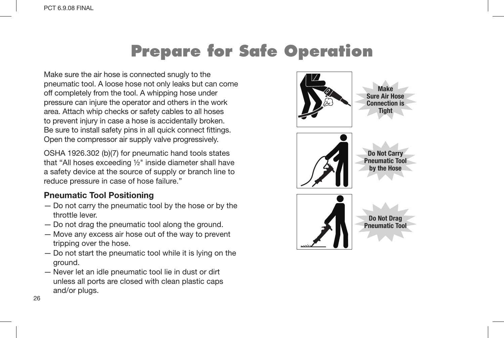Make sure the air hose is connected snugly to the pneumatic tool. A loose hose not only leaks but can come off completely from the tool. A whipping hose under pressure can injure the operator and others in the work area. Attach whip checks or safety cables to all hoses to prevent injury in case a hose is accidentally broken. Be sure to install safety pins in all quick connect fittings. Open the compressor air supply valve progressively.

OSHA 1926.302 (b)(7) for pneumatic hand tools states that "All hoses exceeding  $1/2$ " inside diameter shall have a safety device at the source of supply or branch line to reduce pressure in case of hose failure."

### Pneumatic Tool Positioning

- Do not carry the pneumatic tool by the hose or by the throttle lever.
- Do not drag the pneumatic tool along the ground.
- Move any excess air hose out of the way to prevent tripping over the hose.
- Do not start the pneumatic tool while it is lying on the ground.
- Never let an idle pneumatic tool lie in dust or dirt unless all ports are closed with clean plastic caps and/or plugs.

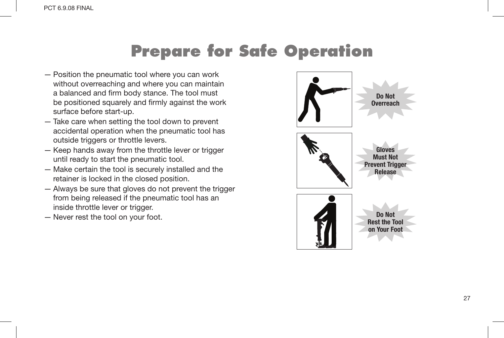- Position the pneumatic tool where you can work without overreaching and where you can maintain a balanced and firm body stance. The tool must be positioned squarely and firmly against the work surface before start-up.
- Take care when setting the tool down to prevent accidental operation when the pneumatic tool has outside triggers or throttle levers.
- Keep hands away from the throttle lever or trigger until ready to start the pneumatic tool.
- Make certain the tool is securely installed and the retainer is locked in the closed position.
- Always be sure that gloves do not prevent the trigger from being released if the pneumatic tool has an inside throttle lever or trigger.
- Never rest the tool on your foot.

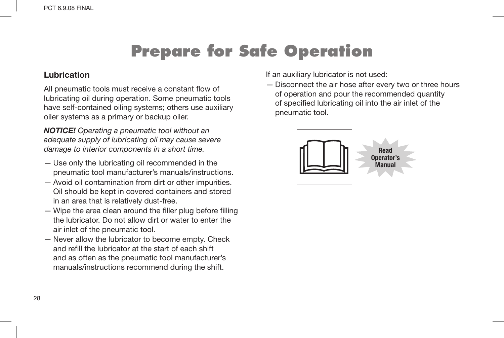#### Lubrication

All pneumatic tools must receive a constant flow of lubricating oil during operation. Some pneumatic tools have self-contained oiling systems; others use auxiliary oiler systems as a primary or backup oiler.

*NOTICE! Operating a pneumatic tool without an adequate supply of lubricating oil may cause severe damage to interior components in a short time.*

- Use only the lubricating oil recommended in the pneumatic tool manufacturer's manuals/instructions.
- Avoid oil contamination from dirt or other impurities. Oil should be kept in covered containers and stored in an area that is relatively dust-free.
- Wipe the area clean around the filler plug before filling the lubricator. Do not allow dirt or water to enter the air inlet of the pneumatic tool.
- Never allow the lubricator to become empty. Check and refill the lubricator at the start of each shift and as often as the pneumatic tool manufacturer's manuals/instructions recommend during the shift.

If an auxiliary lubricator is not used:

— Disconnect the air hose after every two or three hours of operation and pour the recommended quantity of specified lubricating oil into the air inlet of the pneumatic tool.

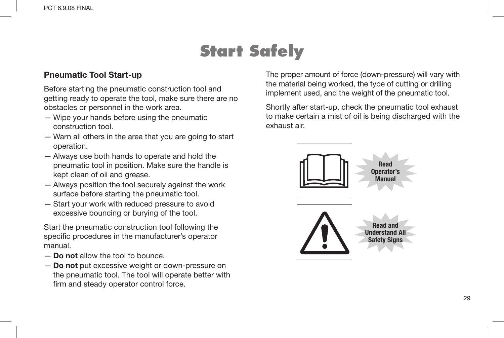# **Start Safely**

#### Pneumatic Tool Start-up

Before starting the pneumatic construction tool and getting ready to operate the tool, make sure there are no obstacles or personnel in the work area.

- Wipe your hands before using the pneumatic construction tool.
- Warn all others in the area that you are going to start operation.
- Always use both hands to operate and hold the pneumatic tool in position. Make sure the handle is kept clean of oil and grease.
- Always position the tool securely against the work surface before starting the pneumatic tool.
- Start your work with reduced pressure to avoid excessive bouncing or burying of the tool.

Start the pneumatic construction tool following the specific procedures in the manufacturer's operator manual.

- Do not allow the tool to bounce.
- Do not put excessive weight or down-pressure on the pneumatic tool. The tool will operate better with firm and steady operator control force.

The proper amount of force (down-pressure) will vary with the material being worked, the type of cutting or drilling implement used, and the weight of the pneumatic tool.

Shortly after start-up, check the pneumatic tool exhaust to make certain a mist of oil is being discharged with the exhaust air.